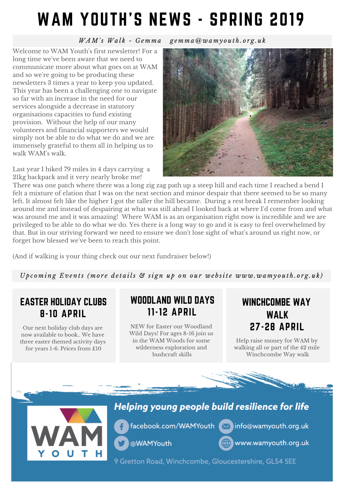# WAM YOUTH'S NEWS - SPRING 2019

WAM's Walk - Gemma gemma@wamyouth.org.uk

Welcome to WAM Youth's first newsletter! For a long time we've been aware that we need to communicate more about what goes on at WAM and so we're going to be producing these newsletters 3 times a year to keep you updated. This year has been a challenging one to navigate so far with an increase in the need for our services alongside a decrease in statutory organisations capacities to fund existing provision. Without the help of our many volunteers and financial supporters we would simply not be able to do what we do and we are immensely grateful to them all in helping us to walk WAM's walk.

Last year I hiked 79 miles in 4 days carrying a 21kg backpack and it very nearly broke me!



There was one patch where there was a long zig zag path up a steep hill and each time I reached a bend I felt a mixture of elation that I was on the next section and minor despair that there seemed to be so many left. It almost felt like the higher I got the taller the hill became. During a rest break I remember looking around me and instead of despairing at what was still ahead I looked back at where I'd come from and what was around me and it was amazing! Where WAM is as an organisation right now is incredible and we are privileged to be able to do what we do. Yes there is a long way to go and it is easy to feel overwhelmed by that. But in our striving forward we need to ensure we don't lose sight of what's around us right now, or forget how blessed we've been to reach this point.

(And if walking is your thing check out our next fundraiser below!)

Upcoming Events (more details & sign up on our website www.wamyouth.org.uk)

### EASTER HOLIDAY CLUBS 8-10 APRIL

Our next holiday club days are now available to book.. We have three easter themed activity days for years 1-6. Prices from £10

## WOODLAND WILD DAYS 11-12 APRIL

NEW for Easter our Woodland Wild Days! For ages 8-16 join us in the WAM Woods for some wilderness exploration and bushcraft skills

## WINCHCOMBE WAY WALK 27-28 APRIL

Help raise money for WAM by walking all or part of the 42 mile Winchcombe Way walk



### Helping young people build resilience for life

facebook.com/WAMYouth Minfo@wamyouth.org.uk

@WAMYouth



www.wamyouth.org.uk

9 Gretton Road, Winchcombe, Gloucestershire, GL54 5EE